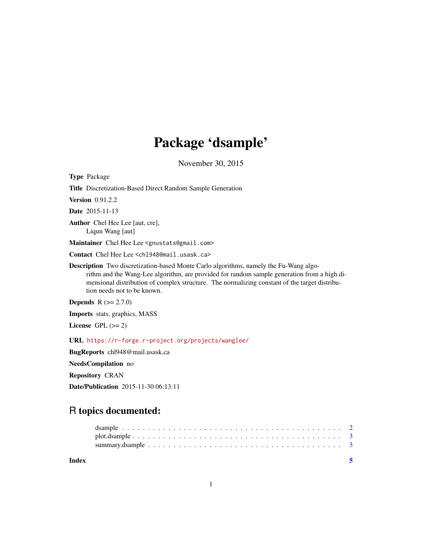## Package 'dsample'

November 30, 2015

Type Package

Title Discretization-Based Direct Random Sample Generation Version 0.91.2.2 Date 2015-11-13 Author Chel Hee Lee [aut, cre], Liqun Wang [aut] Maintainer Chel Hee Lee <gnustats@gmail.com> Contact Chel Hee Lee <chl948@mail.usask.ca> Description Two discretization-based Monte Carlo algorithms, namely the Fu-Wang algorithm and the Wang-Lee algorithm, are provided for random sample generation from a high dimensional distribution of complex structure. The normalizing constant of the target distribution needs not to be known. **Depends**  $R (= 2.7.0)$ 

Imports stats, graphics, MASS

License GPL  $(>= 2)$ 

URL <https://r-forge.r-project.org/projects/wanglee/>

BugReports chl948@mail.usask.ca

NeedsCompilation no

Repository CRAN

Date/Publication 2015-11-30 06:13:11

## R topics documented:

| Index |  |
|-------|--|
|       |  |
|       |  |
|       |  |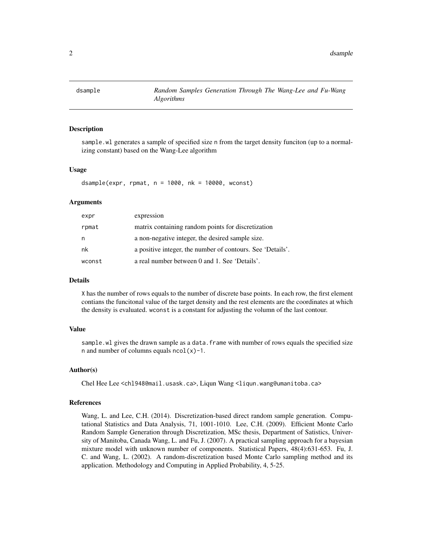<span id="page-1-0"></span>

#### Description

sample.wl generates a sample of specified size n from the target density funciton (up to a normalizing constant) based on the Wang-Lee algorithm

#### Usage

dsample(expr, rpmat,  $n = 1000$ ,  $nk = 10000$ , wconst)

#### Arguments

| expr   | expression                                                 |
|--------|------------------------------------------------------------|
| rpmat  | matrix containing random points for discretization         |
| n      | a non-negative integer, the desired sample size.           |
| nk     | a positive integer, the number of contours. See 'Details'. |
| wconst | a real number between 0 and 1. See 'Details'.              |

#### Details

X has the number of rows equals to the number of discrete base points. In each row, the first element contians the funcitonal value of the target density and the rest elements are the coordinates at which the density is evaluated. wconst is a constant for adjusting the volumn of the last contour.

#### Value

sample.wl gives the drawn sample as a data.frame with number of rows equals the specified size n and number of columns equals  $ncol(x)-1$ .

#### Author(s)

Chel Hee Lee <chl948@mail.usask.ca>, Liqun Wang <liqun.wang@umanitoba.ca>

#### References

Wang, L. and Lee, C.H. (2014). Discretization-based direct random sample generation. Computational Statistics and Data Analysis, 71, 1001-1010. Lee, C.H. (2009). Efficient Monte Carlo Random Sample Generation through Discretization, MSc thesis, Department of Satistics, University of Manitoba, Canada Wang, L. and Fu, J. (2007). A practical sampling approach for a bayesian mixture model with unknown number of components. Statistical Papers, 48(4):631-653. Fu, J. C. and Wang, L. (2002). A random-discretization based Monte Carlo sampling method and its application. Methodology and Computing in Applied Probability, 4, 5-25.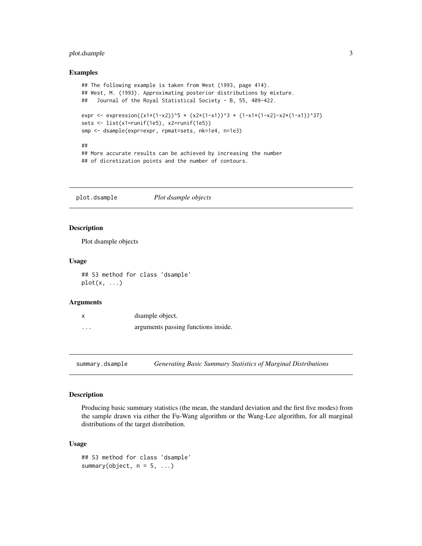#### <span id="page-2-0"></span>plot.dsample 3

#### Examples

```
## The following example is taken from West (1993, page 414).
## West, M. (1993). Approximating posterior distributions by mixture.
## Journal of the Royal Statistical Society - B, 55, 409-422.
expr <- expression((x1*(1-x2))^5 * (x2*(1-x1))^3 * (1-x1*(1-x2)-x2*(1-x1))^37)
sets <- list(x1=runif(1e5), x2=runif(1e5))
smp <- dsample(expr=expr, rpmat=sets, nk=1e4, n=1e3)
##
## More accurate results can be achieved by increasing the number
```
## of dicretization points and the number of contours.

plot.dsample *Plot dsample objects*

#### Description

Plot dsample objects

#### Usage

## S3 method for class 'dsample'  $plot(x, \ldots)$ 

#### Arguments

|          | dsample object.                     |
|----------|-------------------------------------|
| $\cdots$ | arguments passing functions inside. |

summary.dsample *Generating Basic Summary Statistics of Marginal Distributions*

#### Description

Producing basic summary statistics (the mean, the standard deviation and the first five modes) from the sample drawn via either the Fu-Wang algorithm or the Wang-Lee algorithm, for all marginal distributions of the target distribution.

#### Usage

```
## S3 method for class 'dsample'
summary(object, n = 5, ...)
```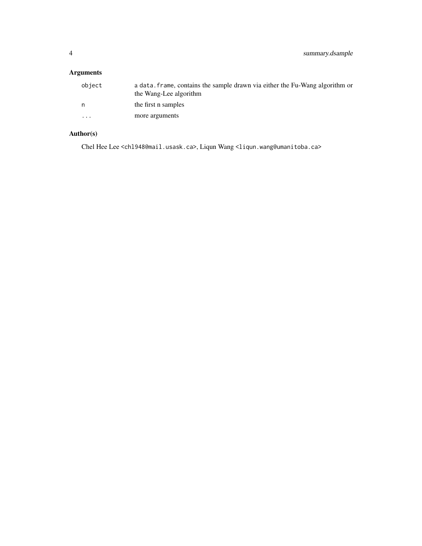### Arguments

| object                  | a data, frame, contains the sample drawn via either the Fu-Wang algorithm or<br>the Wang-Lee algorithm |
|-------------------------|--------------------------------------------------------------------------------------------------------|
| n.                      | the first n samples                                                                                    |
| $\cdot$ $\cdot$ $\cdot$ | more arguments                                                                                         |

## Author(s)

Chel Hee Lee <chl948@mail.usask.ca>, Liqun Wang <liqun.wang@umanitoba.ca>